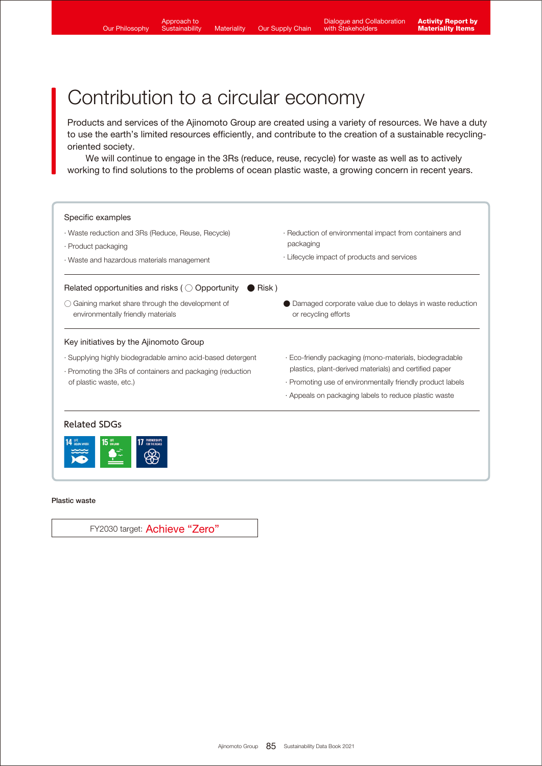Products and services of the Ajinomoto Group are created using a variety of resources. We have a duty to use the earth's limited resources efficiently, and contribute to the creation of a sustainable recyclingoriented society.

 We will continue to engage in the 3Rs (reduce, reuse, recycle) for waste as well as to actively working to find solutions to the problems of ocean plastic waste, a growing concern in recent years.



#### Plastic waste

FY2030 target: Achieve "Zero"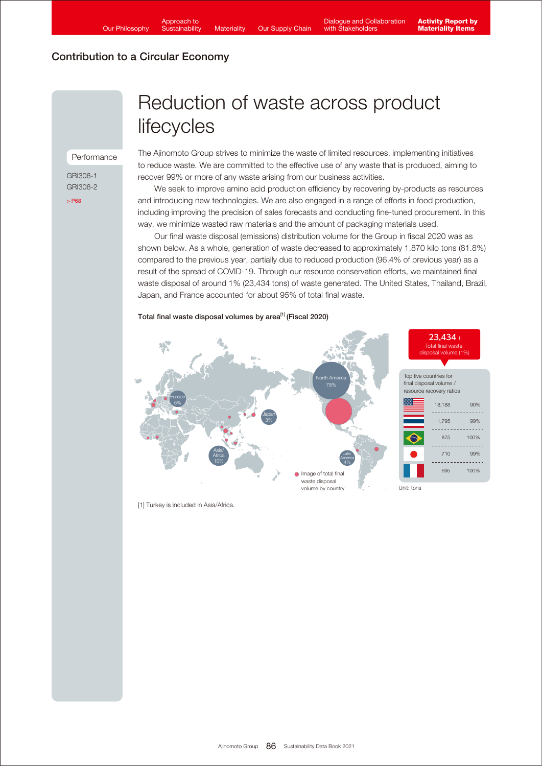#### Performance

GRI306-1 GRI306-2 [> P68](https://www.ajinomoto.com/sustainability/pdf/2021/SDB2021en_ems.pdf)

# Reduction of waste across product **lifecycles**

The Ajinomoto Group strives to minimize the waste of limited resources, implementing initiatives to reduce waste. We are committed to the effective use of any waste that is produced, aiming to recover 99% or more of any waste arising from our business activities.

 We seek to improve amino acid production efficiency by recovering by-products as resources and introducing new technologies. We are also engaged in a range of efforts in food production, including improving the precision of sales forecasts and conducting fine-tuned procurement. In this way, we minimize wasted raw materials and the amount of packaging materials used.

 Our final waste disposal (emissions) distribution volume for the Group in fiscal 2020 was as shown below. As a whole, generation of waste decreased to approximately 1,870 kilo tons (81.8%) compared to the previous year, partially due to reduced production (96.4% of previous year) as a result of the spread of COVID-19. Through our resource conservation efforts, we maintained final waste disposal of around 1% (23,434 tons) of waste generated. The United States, Thailand, Brazil, Japan, and France accounted for about 95% of total final waste.

#### Total final waste disposal volumes by area<sup>[1]</sup> (Fiscal 2020)



[1] Turkey is included in Asia/Africa.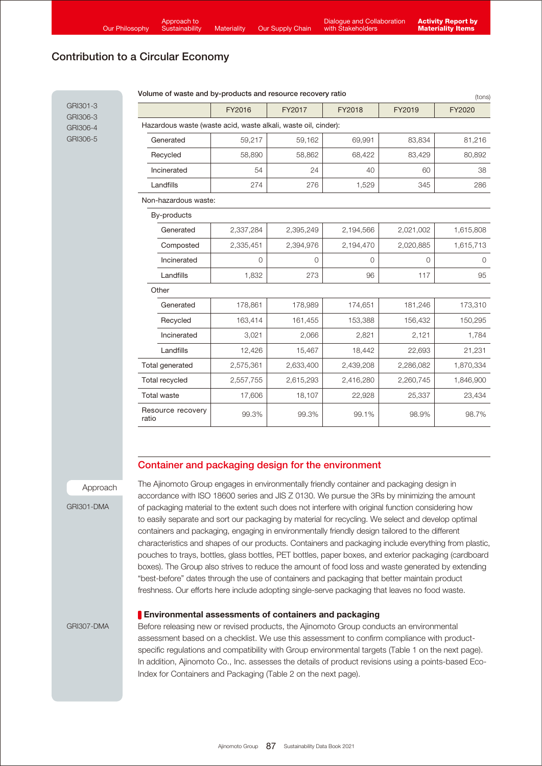GRI301-3 GRI306-3 GRI306-4 GRI306-5

# Contribution to a Circular Economy

| FY2016                                                         |              | FY2017       | FY2018    | FY2019    | FY2020    |  |
|----------------------------------------------------------------|--------------|--------------|-----------|-----------|-----------|--|
| Hazardous waste (waste acid, waste alkali, waste oil, cinder): |              |              |           |           |           |  |
| Generated                                                      | 59,217       | 59,162       | 69,991    | 83,834    | 81,216    |  |
| Recycled                                                       | 58,890       | 58,862       | 68,422    | 83,429    | 80,892    |  |
| Incinerated                                                    | 54           | 24           | 40        | 60        | 38        |  |
| Landfills                                                      | 274          | 276          | 1,529     | 345       | 286       |  |
| Non-hazardous waste:                                           |              |              |           |           |           |  |
| By-products                                                    |              |              |           |           |           |  |
| Generated                                                      | 2,337,284    | 2,395,249    | 2,194,566 | 2,021,002 | 1,615,808 |  |
| Composted                                                      | 2,335,451    | 2,394,976    | 2,194,470 | 2,020,885 | 1,615,713 |  |
| Incinerated                                                    | $\mathbf{0}$ | $\mathbf{0}$ | $\circ$   | 0         | $\circ$   |  |
| Landfills                                                      | 1,832        | 273          | 96        | 117       | 95        |  |
| Other                                                          |              |              |           |           |           |  |
| Generated                                                      | 178,861      | 178,989      | 174,651   | 181,246   | 173,310   |  |
| Recycled                                                       | 163,414      | 161,455      | 153,388   | 156,432   | 150,295   |  |
| Incinerated                                                    | 3,021        | 2,066        | 2,821     | 2,121     | 1,784     |  |
| Landfills                                                      | 12,426       | 15,467       | 18,442    | 22,693    | 21,231    |  |
| Total generated                                                | 2,575,361    | 2,633,400    | 2,439,208 | 2,286,082 | 1,870,334 |  |
| <b>Total recycled</b>                                          | 2,557,755    | 2,615,293    | 2,416,280 | 2,260,745 | 1,846,900 |  |
| <b>Total waste</b>                                             | 17,606       | 18,107       | 22,928    | 25,337    | 23,434    |  |
| Resource recovery<br>ratio                                     | 99.3%        | 99.3%        | 99.1%     | 98.9%     | 98.7%     |  |

#### Volume of waste and by-products and resource recovery ratio

## Container and packaging design for the environment

Approach

GRI301-DMA

The Ajinomoto Group engages in environmentally friendly container and packaging design in accordance with ISO 18600 series and JIS Z 0130. We pursue the 3Rs by minimizing the amount of packaging material to the extent such does not interfere with original function considering how to easily separate and sort our packaging by material for recycling. We select and develop optimal containers and packaging, engaging in environmentally friendly design tailored to the different characteristics and shapes of our products. Containers and packaging include everything from plastic, pouches to trays, bottles, glass bottles, PET bottles, paper boxes, and exterior packaging (cardboard boxes). The Group also strives to reduce the amount of food loss and waste generated by extending "best-before" dates through the use of containers and packaging that better maintain product freshness. Our efforts here include adopting single-serve packaging that leaves no food waste.

#### **Environmental assessments of containers and packaging**

Before releasing new or revised products, the Ajinomoto Group conducts an environmental assessment based on a checklist. We use this assessment to confirm compliance with productspecific regulations and compatibility with Group environmental targets (Table 1 on the next page). In addition, Ajinomoto Co., Inc. assesses the details of product revisions using a points-based Eco-Index for Containers and Packaging (Table 2 on the next page).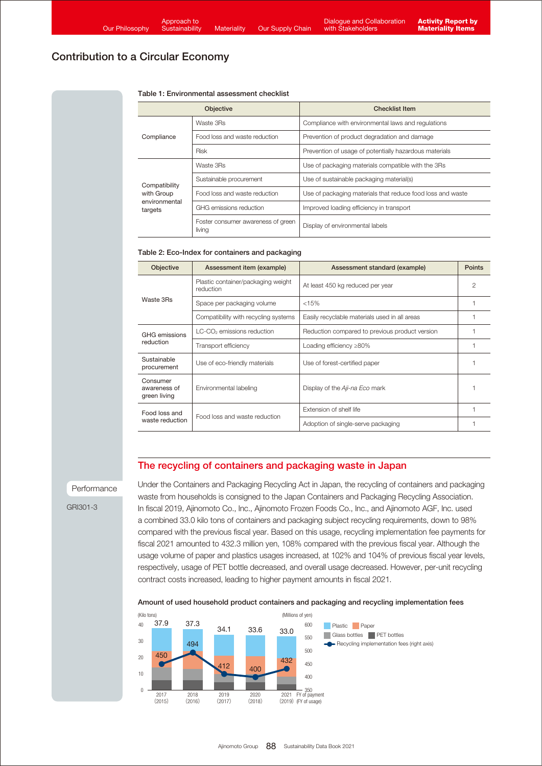#### Table 1: Environmental assessment checklist

|                          | <b>Objective</b>                             | <b>Checklist Item</b>                                      |  |  |  |  |  |
|--------------------------|----------------------------------------------|------------------------------------------------------------|--|--|--|--|--|
|                          | Waste 3Rs                                    | Compliance with environmental laws and regulations         |  |  |  |  |  |
| Compliance               | Food loss and waste reduction                | Prevention of product degradation and damage               |  |  |  |  |  |
|                          | <b>Risk</b>                                  | Prevention of usage of potentially hazardous materials     |  |  |  |  |  |
|                          | Waste 3Rs                                    | Use of packaging materials compatible with the 3Rs         |  |  |  |  |  |
| Compatibility            | Sustainable procurement                      | Use of sustainable packaging material(s)                   |  |  |  |  |  |
| with Group               | Food loss and waste reduction                | Use of packaging materials that reduce food loss and waste |  |  |  |  |  |
| environmental<br>targets | GHG emissions reduction                      | Improved loading efficiency in transport                   |  |  |  |  |  |
|                          | Foster consumer awareness of green<br>living | Display of environmental labels                            |  |  |  |  |  |

#### Table 2: Eco-Index for containers and packaging

| <b>Objective</b>                         | Assessment item (example)                       | Assessment standard (example)                  | <b>Points</b> |
|------------------------------------------|-------------------------------------------------|------------------------------------------------|---------------|
|                                          | Plastic container/packaging weight<br>reduction | At least 450 kg reduced per year               | 2             |
| Waste 3Rs                                | Space per packaging volume                      | < 15%                                          |               |
|                                          | Compatibility with recycling systems            | Easily recyclable materials used in all areas  |               |
| GHG emissions                            | LC-CO <sub>2</sub> emissions reduction          | Reduction compared to previous product version |               |
| reduction                                | Transport efficiency                            | Loading efficiency $\geq$ 80%                  |               |
| Sustainable<br>procurement               | Use of eco-friendly materials                   | Use of forest-certified paper                  |               |
| Consumer<br>awareness of<br>green living | Environmental labeling                          | Display of the Aji-na Eco mark                 |               |
| Food loss and<br>waste reduction         | Food loss and waste reduction                   | Extension of shelf life                        |               |
|                                          |                                                 | Adoption of single-serve packaging             |               |

## The recycling of containers and packaging waste in Japan

#### Performance

GRI301-3

Under the Containers and Packaging Recycling Act in Japan, the recycling of containers and packaging waste from households is consigned to the Japan Containers and Packaging Recycling Association. In fiscal 2019, Ajinomoto Co., Inc., Ajinomoto Frozen Foods Co., Inc., and Ajinomoto AGF, Inc. used a combined 33.0 kilo tons of containers and packaging subject recycling requirements, down to 98% compared with the previous fiscal year. Based on this usage, recycling implementation fee payments for fiscal 2021 amounted to 432.3 million yen, 108% compared with the previous fiscal year. Although the usage volume of paper and plastics usages increased, at 102% and 104% of previous fiscal year levels, respectively, usage of PET bottle decreased, and overall usage decreased. However, per-unit recycling contract costs increased, leading to higher payment amounts in fiscal 2021.

#### Amount of used household product containers and packaging and recycling implementation fees

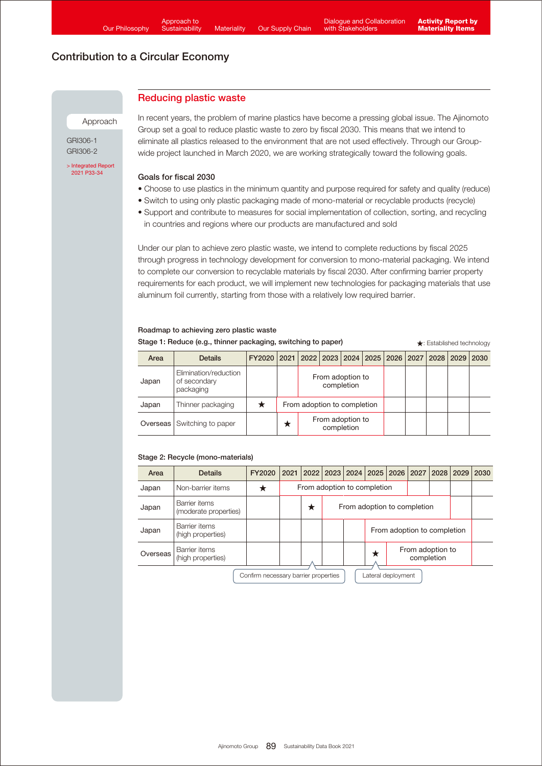## Reducing plastic waste

Approach

GRI306-1 GRI306-2

[> Integrated Report](https://www.ajinomoto.co.jp/company/en/ir/library/annual/main/08/teaserItems1/00/linkList/0/link/Integrated%20Report%202021_E_A4.pdf#page=34)  2021 P33-34

In recent years, the problem of marine plastics have become a pressing global issue. The Ajinomoto Group set a goal to reduce plastic waste to zero by fiscal 2030. This means that we intend to eliminate all plastics released to the environment that are not used effectively. Through our Groupwide project launched in March 2020, we are working strategically toward the following goals.

## Goals for fiscal 2030

- Choose to use plastics in the minimum quantity and purpose required for safety and quality (reduce)
- Switch to using only plastic packaging made of mono-material or recyclable products (recycle)
- Support and contribute to measures for social implementation of collection, sorting, and recycling in countries and regions where our products are manufactured and sold

Under our plan to achieve zero plastic waste, we intend to complete reductions by fiscal 2025 through progress in technology development for conversion to mono-material packaging. We intend to complete our conversion to recyclable materials by fiscal 2030. After confirming barrier property requirements for each product, we will implement new technologies for packaging materials that use aluminum foil currently, starting from those with a relatively low required barrier.

| Stage 1: Reduce (e.g., thinner packaging, switching to paper) |                                                    |             |                             |                                         |  |  |  | $\star$ : Established technology |  |  |      |  |
|---------------------------------------------------------------|----------------------------------------------------|-------------|-----------------------------|-----------------------------------------|--|--|--|----------------------------------|--|--|------|--|
| Area                                                          | <b>Details</b>                                     | FY2020 2021 |                             | 2022 2023 2024 2025 2026 2027 2028 2029 |  |  |  |                                  |  |  | 2030 |  |
| Japan                                                         | Elimination/reduction<br>of secondary<br>packaging |             |                             | From adoption to<br>completion          |  |  |  |                                  |  |  |      |  |
| Japan                                                         | Thinner packaging                                  |             | From adoption to completion |                                         |  |  |  |                                  |  |  |      |  |
| Overseas                                                      | Switching to paper                                 |             | л                           | From adoption to<br>completion          |  |  |  |                                  |  |  |      |  |

## Stage 2: Recycle (mono-materials)

Roadmap to achieving zero plastic waste

| Area                                                       | <b>Details</b>                         | FY2020 |                             | 2021   2022   2023   2024   2025   2026   2027 |                             |  |                                     |  |  | $2028$ 2029 |  | 2030 |
|------------------------------------------------------------|----------------------------------------|--------|-----------------------------|------------------------------------------------|-----------------------------|--|-------------------------------------|--|--|-------------|--|------|
| Japan                                                      | Non-barrier items                      |        | From adoption to completion |                                                |                             |  |                                     |  |  |             |  |      |
| Japan                                                      | Barrier items<br>(moderate properties) |        |                             | ★                                              | From adoption to completion |  |                                     |  |  |             |  |      |
| Japan                                                      | Barrier items<br>(high properties)     |        |                             |                                                |                             |  | From adoption to completion         |  |  |             |  |      |
| Overseas                                                   | Barrier items<br>(high properties)     |        |                             |                                                |                             |  | From adoption to<br>★<br>completion |  |  |             |  |      |
| Confirm necessary barrier properties<br>Lateral deployment |                                        |        |                             |                                                |                             |  |                                     |  |  |             |  |      |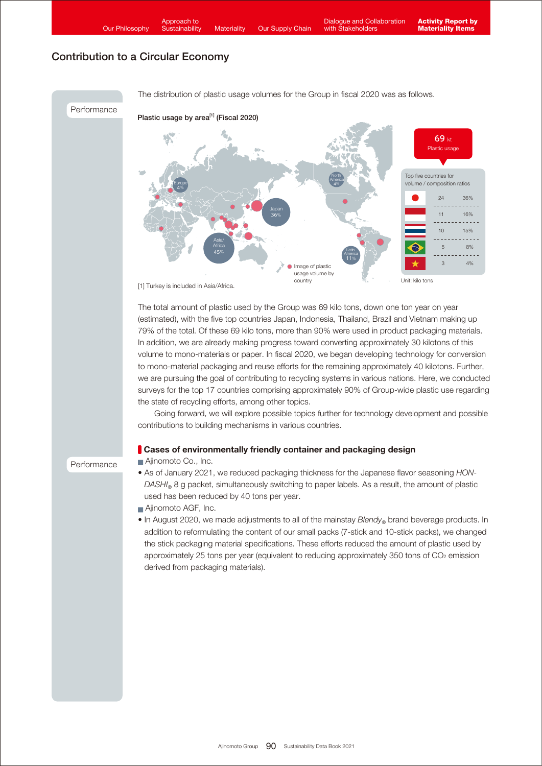

The total amount of plastic used by the Group was 69 kilo tons, down one ton year on year (estimated), with the five top countries Japan, Indonesia, Thailand, Brazil and Vietnam making up 79% of the total. Of these 69 kilo tons, more than 90% were used in product packaging materials. In addition, we are already making progress toward converting approximately 30 kilotons of this volume to mono-materials or paper. In fiscal 2020, we began developing technology for conversion to mono-material packaging and reuse efforts for the remaining approximately 40 kilotons. Further, we are pursuing the goal of contributing to recycling systems in various nations. Here, we conducted surveys for the top 17 countries comprising approximately 90% of Group-wide plastic use regarding the state of recycling efforts, among other topics.

 Going forward, we will explore possible topics further for technology development and possible contributions to building mechanisms in various countries.

## **Cases of environmentally friendly container and packaging design**

Ajinomoto Co., Inc.

Performance

- As of January 2021, we reduced packaging thickness for the Japanese flavor seasoning *HON-DASHI*® 8 g packet, simultaneously switching to paper labels. As a result, the amount of plastic used has been reduced by 40 tons per year.
- Ajinomoto AGF, Inc.
- In August 2020, we made adjustments to all of the mainstay *Blendy*<sup>®</sup> brand beverage products. In addition to reformulating the content of our small packs (7-stick and 10-stick packs), we changed the stick packaging material specifications. These efforts reduced the amount of plastic used by approximately 25 tons per year (equivalent to reducing approximately 350 tons of CO<sub>2</sub> emission derived from packaging materials).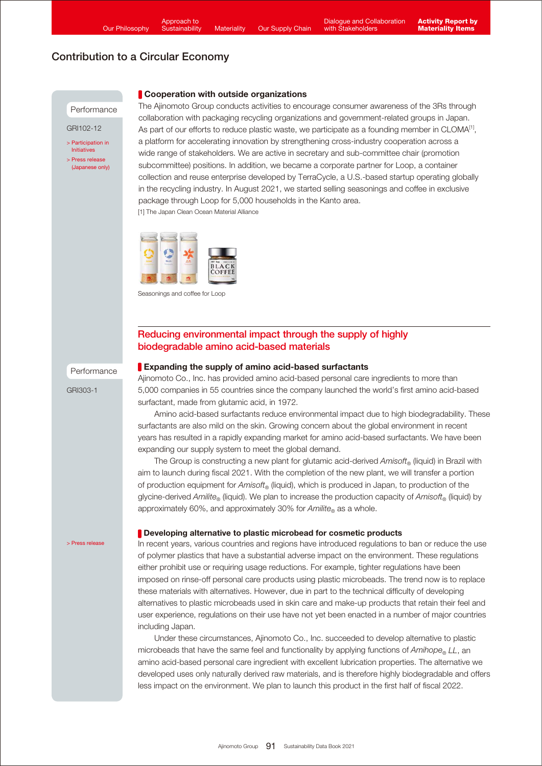

(Japanese only)

### Cooperation with outside organizations

[1] The Japan Clean Ocean Material Alliance The Ajinomoto Group conducts activities to encourage consumer awareness of the 3Rs through collaboration with packaging recycling organizations and government-related groups in Japan. As part of our efforts to reduce plastic waste, we participate as a founding member in CLOMA $^{[1]}$ , a platform for accelerating innovation by strengthening cross-industry cooperation across a wide range of stakeholders. We are active in secretary and sub-committee chair (promotion subcommittee) positions. In addition, we became a corporate partner for Loop, a container collection and reuse enterprise developed by TerraCycle, a U.S.-based startup operating globally in the recycling industry. In August 2021, we started selling seasonings and coffee in exclusive package through Loop for 5,000 households in the Kanto area.



Seasonings and coffee for Loop

## Reducing environmental impact through the supply of highly biodegradable amino acid-based materials

#### Performance

GRI303-1

### Expanding the supply of amino acid-based surfactants

Ajinomoto Co., Inc. has provided amino acid-based personal care ingredients to more than 5,000 companies in 55 countries since the company launched the world's first amino acid-based surfactant, made from glutamic acid, in 1972.

 Amino acid-based surfactants reduce environmental impact due to high biodegradability. These surfactants are also mild on the skin. Growing concern about the global environment in recent years has resulted in a rapidly expanding market for amino acid-based surfactants. We have been expanding our supply system to meet the global demand.

 The Group is constructing a new plant for glutamic acid-derived *Amisoft®* (liquid) in Brazil with aim to launch during fiscal 2021. With the completion of the new plant, we will transfer a portion of production equipment for *Amisoft®* (liquid), which is produced in Japan, to production of the glycine-derived *Amilite*<sup>®</sup> (liquid). We plan to increase the production capacity of *Amisoft*<sup>®</sup> (liquid) by approximately 60%, and approximately 30% for *Amilite*® as a whole.

#### [> Press release](https://www.ajinomoto.com/cms_wp_ajnmt_global/wp-content/uploads/pdf/2021_04_26.pdf)

## Developing alternative to plastic microbead for cosmetic products

In recent years, various countries and regions have introduced regulations to ban or reduce the use of polymer plastics that have a substantial adverse impact on the environment. These regulations either prohibit use or requiring usage reductions. For example, tighter regulations have been imposed on rinse-off personal care products using plastic microbeads. The trend now is to replace these materials with alternatives. However, due in part to the technical difficulty of developing alternatives to plastic microbeads used in skin care and make-up products that retain their feel and user experience, regulations on their use have not yet been enacted in a number of major countries including Japan.

 Under these circumstances, Ajinomoto Co., Inc. succeeded to develop alternative to plastic microbeads that have the same feel and functionality by applying functions of  $Amihope_{\mathcal{O}}$  LL, an amino acid-based personal care ingredient with excellent lubrication properties. The alternative we developed uses only naturally derived raw materials, and is therefore highly biodegradable and offers less impact on the environment. We plan to launch this product in the first half of fiscal 2022.